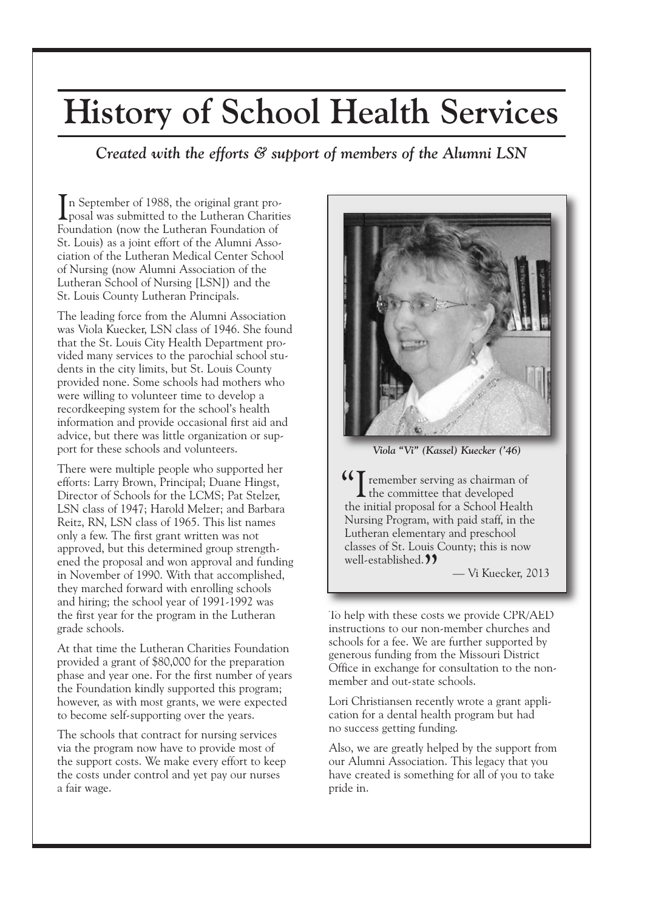## **History of School Health Services**

## *Created with the efforts & support of members of the Alumni LSN*

In September of 1988, the original grant pro-<br>posal was submitted to the Lutheran Charities n September of 1988, the original grant pro-Foundation (now the Lutheran Foundation of St. Louis) as a joint effort of the Alumni Association of the Lutheran Medical Center School of Nursing (now Alumni Association of the Lutheran School of Nursing [LSN]) and the St. Louis County Lutheran Principals.

The leading force from the Alumni Association was Viola Kuecker, LSN class of 1946. She found that the St. Louis City Health Department provided many services to the parochial school students in the city limits, but St. Louis County provided none. Some schools had mothers who were willing to volunteer time to develop a recordkeeping system for the school's health information and provide occasional first aid and advice, but there was little organization or support for these schools and volunteers.

There were multiple people who supported her efforts: Larry Brown, Principal; Duane Hingst, Director of Schools for the LCMS; Pat Stelzer, LSN class of 1947; Harold Melzer; and Barbara Reitz, RN, LSN class of 1965. This list names only a few. The first grant written was not approved, but this determined group strengthened the proposal and won approval and funding in November of 1990. With that accomplished, they marched forward with enrolling schools and hiring; the school year of 1991-1992 was the first year for the program in the Lutheran grade schools.

At that time the Lutheran Charities Foundation provided a grant of \$80,000 for the preparation phase and year one. For the first number of years the Foundation kindly supported this program; however, as with most grants, we were expected to become self-supporting over the years.

The schools that contract for nursing services via the program now have to provide most of the support costs. We make every effort to keep the costs under control and yet pay our nurses a fair wage.



*Viola "Vi" (Kassel) Kuecker ('46)*

**"**<br> **CE** remember serving as chairman of<br>
the committee that developed the committee that developed the initial proposal for a School Health Nursing Program, with paid staff, in the Lutheran elementary and preschool classes of St. Louis County; this is now well-established.<sup>99</sup>

— Vi Kuecker, 2013

To help with these costs we provide CPR/AED instructions to our non-member churches and schools for a fee. We are further supported by generous funding from the Missouri District Office in exchange for consultation to the nonmember and out-state schools.

Lori Christiansen recently wrote a grant application for a dental health program but had no success getting funding.

Also, we are greatly helped by the support from our Alumni Association. This legacy that you have created is something for all of you to take pride in.